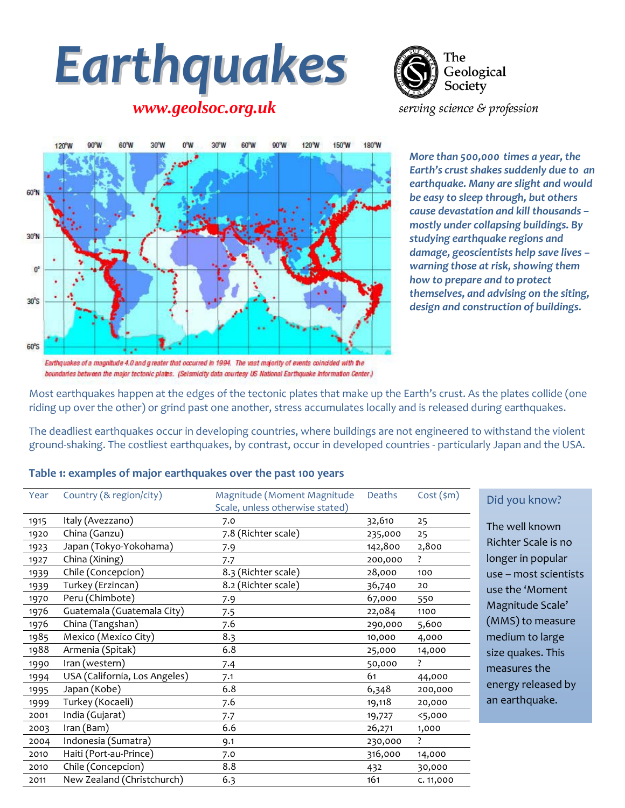# *Earthquakes*

*www.geolsoc.org.uk*

The Geological Society serving science & profession



*More than 500,000 times a year, the Earth's crust shakes suddenly due to an earthquake. Many are slight and would be easy to sleep through, but others cause devastation and kill thousands – mostly under collapsing buildings. By studying earthquake regions and damage, geoscientists help save lives – warning those at risk, showing them how to prepare and to protect themselves, and advising on the siting, design and construction of buildings.*

Most earthquakes happen at the edges of the tectonic plates that make up the Earth's crust. As the plates collide (one riding up over the other) or grind past one another, stress accumulates locally and is released during earthquakes.

The deadliest earthquakes occur in developing countries, where buildings are not engineered to withstand the violent ground-shaking. The costliest earthquakes, by contrast, occur in developed countries - particularly Japan and the USA.

#### **Table 1: examples of major earthquakes over the past 100 years**

| Year | Country (& region/city)       | Magnitude (Moment Magnitude<br>Scale, unless otherwise stated) | Deaths  | $Cost$ (\$m) |
|------|-------------------------------|----------------------------------------------------------------|---------|--------------|
| 1915 | Italy (Avezzano)              | 7.0                                                            | 32,610  | 25           |
| 1920 | China (Ganzu)                 | 7.8 (Richter scale)                                            | 235,000 | 25           |
| 1923 | Japan (Tokyo-Yokohama)        | 7.9                                                            | 142,800 | 2,800        |
| 1927 | China (Xining)                | 7.7                                                            | 200,000 | ?            |
| 1939 | Chile (Concepcion)            | 8.3 (Richter scale)                                            | 28,000  | 100          |
| 1939 | Turkey (Erzincan)             | 8.2 (Richter scale)                                            | 36,740  | 20           |
| 1970 | Peru (Chimbote)               | 7.9                                                            | 67,000  | 550          |
| 1976 | Guatemala (Guatemala City)    | 7.5                                                            | 22,084  | 1100         |
| 1976 | China (Tangshan)              | 7.6                                                            | 290,000 | 5,600        |
| 1985 | Mexico (Mexico City)          | 8.3                                                            | 10,000  | 4,000        |
| 1988 | Armenia (Spitak)              | 6.8                                                            | 25,000  | 14,000       |
| 1990 | Iran (western)                | 7.4                                                            | 50,000  | ?            |
| 1994 | USA (California, Los Angeles) | 7.1                                                            | 61      | 44,000       |
| 1995 | Japan (Kobe)                  | 6.8                                                            | 6,348   | 200,000      |
| 1999 | Turkey (Kocaeli)              | 7.6                                                            | 19,118  | 20,000       |
| 2001 | India (Gujarat)               | 7.7                                                            | 19,727  | 5,000        |
| 2003 | Iran (Bam)                    | 6.6                                                            | 26,271  | 1,000        |
| 2004 | Indonesia (Sumatra)           | 9.1                                                            | 230,000 | ?            |
| 2010 | Haiti (Port-au-Prince)        | 7.0                                                            | 316,000 | 14,000       |
| 2010 | Chile (Concepcion)            | 8.8                                                            | 432     | 30,000       |
| 2011 | New Zealand (Christchurch)    | 6.3                                                            | 161     | C. 11,000    |

#### d you know?

Richter Scale is no longer in popular use – most scientists าe well known e the 'Moment agnitude Scale' (MMS) to measure edium to large ze quakes. This easures the nergy released by earthquake.

Earthquakes of a magnitude 4.0 and greater that occurred in 1994. The vast majority of events coincided with the boundaries between the major tectonic plates. (Seismicity data courtesy US National Earthquake Information Center.)